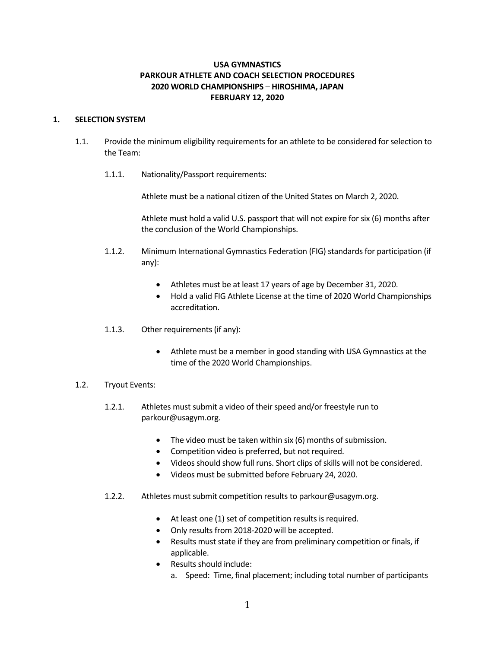# **USA GYMNASTICS PARKOUR ATHLETE AND COACH SELECTION PROCEDURES 2020 WORLD CHAMPIONSHIPS** – **HIROSHIMA, JAPAN FEBRUARY 12, 2020**

## **1. SELECTION SYSTEM**

- 1.1. Provide the minimum eligibility requirements for an athlete to be considered for selection to the Team:
	- 1.1.1. Nationality/Passport requirements:

Athlete must be a national citizen of the United States on March 2, 2020.

Athlete must hold a valid U.S. passport that will not expire for six (6) months after the conclusion of the World Championships.

- 1.1.2. Minimum International Gymnastics Federation (FIG) standards for participation (if any):
	- Athletes must be at least 17 years of age by December 31, 2020.
	- Hold a valid FIG Athlete License at the time of 2020 World Championships accreditation.
- 1.1.3. Other requirements (if any):
	- Athlete must be a member in good standing with USA Gymnastics at the time of the 2020 World Championships.
- 1.2. Tryout Events:
	- 1.2.1. Athletes must submit a video of their speed and/or freestyle run to parkour@usagym.org.
		- The video must be taken within six (6) months of submission.
		- Competition video is preferred, but not required.
		- Videos should show full runs. Short clips of skills will not be considered.
		- Videos must be submitted before February 24, 2020.
	- 1.2.2. Athletes must submit competition results to parkour@usagym.org.
		- At least one (1) set of competition results is required.
		- Only results from 2018-2020 will be accepted.
		- Results must state if they are from preliminary competition or finals, if applicable.
		- Results should include:
			- a. Speed: Time, final placement; including total number of participants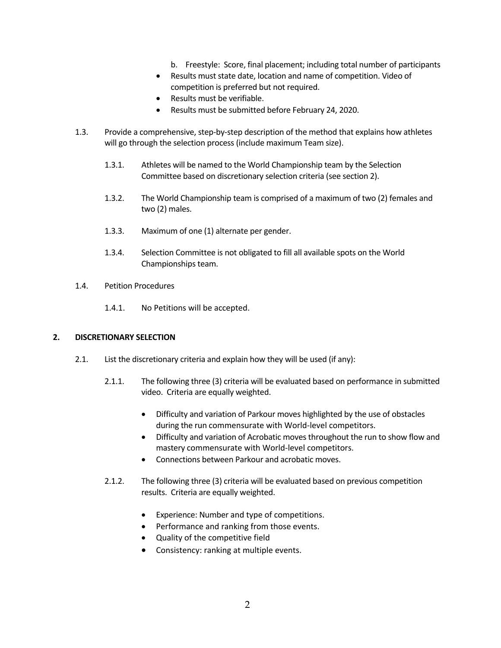- b. Freestyle: Score, final placement; including total number of participants
- Results must state date, location and name of competition. Video of competition is preferred but not required.
- Results must be verifiable.
- Results must be submitted before February 24, 2020.
- 1.3. Provide a comprehensive, step-by-step description of the method that explains how athletes will go through the selection process (include maximum Team size).
	- 1.3.1. Athletes will be named to the World Championship team by the Selection Committee based on discretionary selection criteria (see section 2).
	- 1.3.2. The World Championship team is comprised of a maximum of two (2) females and two (2) males.
	- 1.3.3. Maximum of one (1) alternate per gender.
	- 1.3.4. Selection Committee is not obligated to fill all available spots on the World Championships team.
- 1.4. Petition Procedures
	- 1.4.1. No Petitions will be accepted.

## **2. DISCRETIONARY SELECTION**

- 2.1. List the discretionary criteria and explain how they will be used (if any):
	- 2.1.1. The following three (3) criteria will be evaluated based on performance in submitted video. Criteria are equally weighted.
		- Difficulty and variation of Parkour moves highlighted by the use of obstacles during the run commensurate with World-level competitors.
		- Difficulty and variation of Acrobatic moves throughout the run to show flow and mastery commensurate with World-level competitors.
		- Connections between Parkour and acrobatic moves.
	- 2.1.2. The following three (3) criteria will be evaluated based on previous competition results. Criteria are equally weighted.
		- Experience: Number and type of competitions.
		- Performance and ranking from those events.
		- Quality of the competitive field
		- Consistency: ranking at multiple events.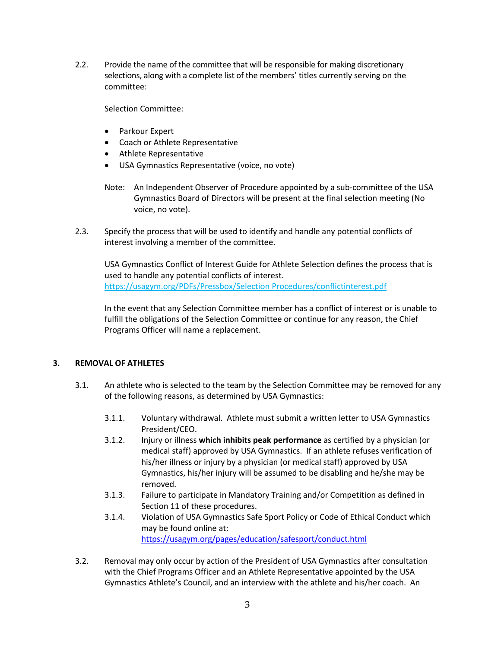2.2. Provide the name of the committee that will be responsible for making discretionary selections, along with a complete list of the members' titles currently serving on the committee:

Selection Committee:

- Parkour Expert
- Coach or Athlete Representative
- Athlete Representative
- USA Gymnastics Representative (voice, no vote)
- Note: An Independent Observer of Procedure appointed by a sub-committee of the USA Gymnastics Board of Directors will be present at the final selection meeting (No voice, no vote).
- 2.3. Specify the process that will be used to identify and handle any potential conflicts of interest involving a member of the committee.

USA Gymnastics Conflict of Interest Guide for Athlete Selection defines the process that is used to handle any potential conflicts of interest. https://usagym.org/PDFs/Pressbox/Selection Procedures/conflictinterest.pdf

In the event that any Selection Committee member has a conflict of interest or is unable to fulfill the obligations of the Selection Committee or continue for any reason, the Chief Programs Officer will name a replacement.

# **3. REMOVAL OF ATHLETES**

- 3.1. An athlete who is selected to the team by the Selection Committee may be removed for any of the following reasons, as determined by USA Gymnastics:
	- 3.1.1. Voluntary withdrawal. Athlete must submit a written letter to USA Gymnastics President/CEO.
	- 3.1.2. Injury or illness **which inhibits peak performance** as certified by a physician (or medical staff) approved by USA Gymnastics. If an athlete refuses verification of his/her illness or injury by a physician (or medical staff) approved by USA Gymnastics, his/her injury will be assumed to be disabling and he/she may be removed.
	- 3.1.3. Failure to participate in Mandatory Training and/or Competition as defined in Section 11 of these procedures.
	- 3.1.4. Violation of USA Gymnastics Safe Sport Policy or Code of Ethical Conduct which may be found online at: https://usagym.org/pages/education/safesport/conduct.html
- 3.2. Removal may only occur by action of the President of USA Gymnastics after consultation with the Chief Programs Officer and an Athlete Representative appointed by the USA Gymnastics Athlete's Council, and an interview with the athlete and his/her coach. An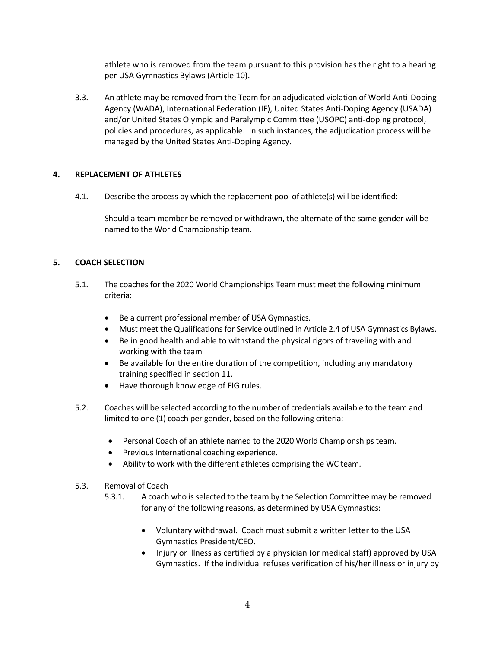athlete who is removed from the team pursuant to this provision has the right to a hearing per USA Gymnastics Bylaws (Article 10).

3.3. An athlete may be removed from the Team for an adjudicated violation of World Anti-Doping Agency (WADA), International Federation (IF), United States Anti-Doping Agency (USADA) and/or United States Olympic and Paralympic Committee (USOPC) anti-doping protocol, policies and procedures, as applicable. In such instances, the adjudication process will be managed by the United States Anti-Doping Agency.

# **4. REPLACEMENT OF ATHLETES**

4.1. Describe the process by which the replacement pool of athlete(s) will be identified:

Should a team member be removed or withdrawn, the alternate of the same gender will be named to the World Championship team.

# **5. COACH SELECTION**

- 5.1. The coaches for the 2020 World Championships Team must meet the following minimum criteria:
	- Be a current professional member of USA Gymnastics.
	- Must meet the Qualifications for Service outlined in Article 2.4 of USA Gymnastics Bylaws.
	- Be in good health and able to withstand the physical rigors of traveling with and working with the team
	- Be available for the entire duration of the competition, including any mandatory training specified in section 11.
	- Have thorough knowledge of FIG rules.
- 5.2. Coaches will be selected according to the number of credentials available to the team and limited to one (1) coach per gender, based on the following criteria:
	- Personal Coach of an athlete named to the 2020 World Championships team.
	- Previous International coaching experience.
	- Ability to work with the different athletes comprising the WC team.
- 5.3. Removal of Coach
	- 5.3.1. A coach who is selected to the team by the Selection Committee may be removed for any of the following reasons, as determined by USA Gymnastics:
		- Voluntary withdrawal. Coach must submit a written letter to the USA Gymnastics President/CEO.
		- Injury or illness as certified by a physician (or medical staff) approved by USA Gymnastics. If the individual refuses verification of his/her illness or injury by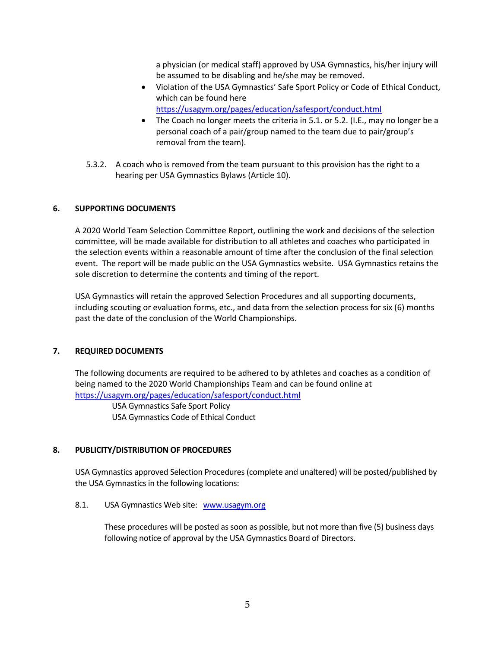a physician (or medical staff) approved by USA Gymnastics, his/her injury will be assumed to be disabling and he/she may be removed.

- Violation of the USA Gymnastics' Safe Sport Policy or Code of Ethical Conduct, which can be found here https://usagym.org/pages/education/safesport/conduct.html
- The Coach no longer meets the criteria in 5.1. or 5.2. (I.E., may no longer be a personal coach of a pair/group named to the team due to pair/group's removal from the team).
- 5.3.2. A coach who is removed from the team pursuant to this provision has the right to a hearing per USA Gymnastics Bylaws (Article 10).

## **6. SUPPORTING DOCUMENTS**

A 2020 World Team Selection Committee Report, outlining the work and decisions of the selection committee, will be made available for distribution to all athletes and coaches who participated in the selection events within a reasonable amount of time after the conclusion of the final selection event. The report will be made public on the USA Gymnastics website. USA Gymnastics retains the sole discretion to determine the contents and timing of the report.

USA Gymnastics will retain the approved Selection Procedures and all supporting documents, including scouting or evaluation forms, etc., and data from the selection process for six (6) months past the date of the conclusion of the World Championships.

## **7. REQUIRED DOCUMENTS**

The following documents are required to be adhered to by athletes and coaches as a condition of being named to the 2020 World Championships Team and can be found online at https://usagym.org/pages/education/safesport/conduct.html

> USA Gymnastics Safe Sport Policy USA Gymnastics Code of Ethical Conduct

# **8. PUBLICITY/DISTRIBUTION OF PROCEDURES**

USA Gymnastics approved Selection Procedures (complete and unaltered) will be posted/published by the USA Gymnastics in the following locations:

## 8.1. USA Gymnastics Web site: www.usagym.org

These procedures will be posted as soon as possible, but not more than five (5) business days following notice of approval by the USA Gymnastics Board of Directors.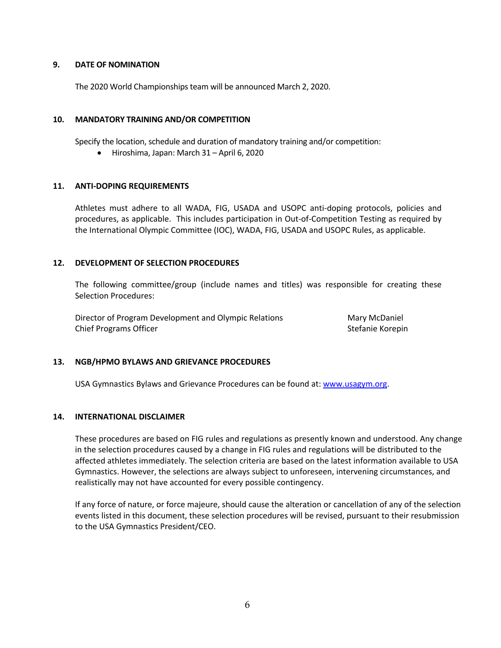#### **9. DATE OF NOMINATION**

The 2020 World Championships team will be announced March 2, 2020.

#### **10. MANDATORY TRAINING AND/OR COMPETITION**

Specify the location, schedule and duration of mandatory training and/or competition:

• Hiroshima, Japan: March 31 – April 6, 2020

#### **11. ANTI-DOPING REQUIREMENTS**

Athletes must adhere to all WADA, FIG, USADA and USOPC anti-doping protocols, policies and procedures, as applicable. This includes participation in Out-of-Competition Testing as required by the International Olympic Committee (IOC), WADA, FIG, USADA and USOPC Rules, as applicable.

#### **12. DEVELOPMENT OF SELECTION PROCEDURES**

The following committee/group (include names and titles) was responsible for creating these Selection Procedures:

Director of Program Development and Olympic Relations **Mary McDaniel** Chief Programs Officer Stefanie Korepin and Stefanie Korepin and Stefanie Korepin

## **13. NGB/HPMO BYLAWS AND GRIEVANCE PROCEDURES**

USA Gymnastics Bylaws and Grievance Procedures can be found at: www.usagym.org.

#### **14. INTERNATIONAL DISCLAIMER**

These procedures are based on FIG rules and regulations as presently known and understood. Any change in the selection procedures caused by a change in FIG rules and regulations will be distributed to the affected athletes immediately. The selection criteria are based on the latest information available to USA Gymnastics. However, the selections are always subject to unforeseen, intervening circumstances, and realistically may not have accounted for every possible contingency.

If any force of nature, or force majeure, should cause the alteration or cancellation of any of the selection events listed in this document, these selection procedures will be revised, pursuant to their resubmission to the USA Gymnastics President/CEO.